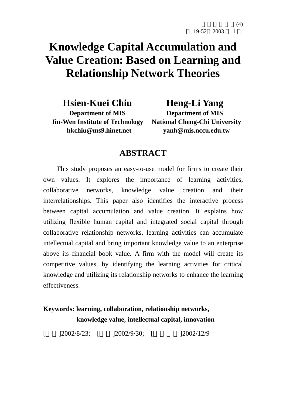$(4)$ 

# **Knowledge Capital Accumulation and Value Creation: Based on Learning and Relationship Network Theories**

**Hsien-Kuei Chiu** 

**Department of MIS Jin-Wen Institute of Technology hkchiu@ms9.hinet.net**

**Heng-Li Yang Department of MIS National Cheng-Chi University yanh@mis.nccu.edu.tw** 

# **ABSTRACT**

This study proposes an easy-to-use model for firms to create their own values. It explores the importance of learning activities, collaborative networks, knowledge value creation and their interrelationships. This paper also identifies the interactive process between capital accumulation and value creation. It explains how utilizing flexible human capital and integrated social capital through collaborative relationship networks, learning activities can accumulate intellectual capital and bring important knowledge value to an enterprise above its financial book value. A firm with the model will create its competitive values, by identifying the learning activities for critical knowledge and utilizing its relationship networks to enhance the learning effectiveness.

# **Keywords: learning, collaboration, relationship networks, knowledge value, intellectual capital, innovation**

 $[$  12002/8/23;  $[$  12002/9/30;  $[$  12002/12/9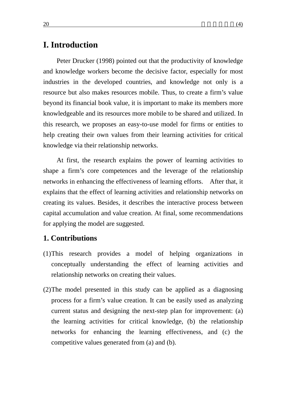# **I. Introduction**

Peter Drucker (1998) pointed out that the productivity of knowledge and knowledge workers become the decisive factor, especially for most industries in the developed countries, and knowledge not only is a resource but also makes resources mobile. Thus, to create a firm's value beyond its financial book value, it is important to make its members more knowledgeable and its resources more mobile to be shared and utilized. In this research, we proposes an easy-to-use model for firms or entities to help creating their own values from their learning activities for critical knowledge via their relationship networks.

At first, the research explains the power of learning activities to shape a firm's core competences and the leverage of the relationship networks in enhancing the effectiveness of learning efforts. After that, it explains that the effect of learning activities and relationship networks on creating its values. Besides, it describes the interactive process between capital accumulation and value creation. At final, some recommendations for applying the model are suggested.

### **1. Contributions**

- (1)This research provides a model of helping organizations in conceptually understanding the effect of learning activities and relationship networks on creating their values.
- (2)The model presented in this study can be applied as a diagnosing process for a firm's value creation. It can be easily used as analyzing current status and designing the next-step plan for improvement: (a) the learning activities for critical knowledge, (b) the relationship networks for enhancing the learning effectiveness, and (c) the competitive values generated from (a) and (b).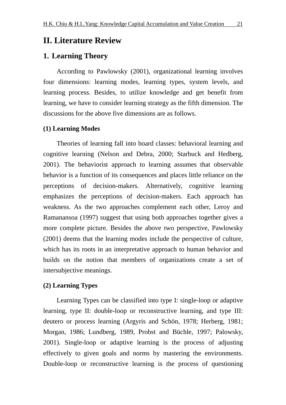# **II. Literature Review**

### **1. Learning Theory**

According to Pawlowsky (2001), organizational learning involves four dimensions: learning modes, learning types, system levels, and learning process. Besides, to utilize knowledge and get benefit from learning, we have to consider learning strategy as the fifth dimension. The discussions for the above five dimensions are as follows.

### **(1) Learning Modes**

Theories of learning fall into board classes: behavioral learning and cognitive learning (Nelson and Debra, 2000; Starbuck and Hedberg, 2001). The behaviorist approach to learning assumes that observable behavior is a function of its consequences and places little reliance on the perceptions of decision-makers. Alternatively, cognitive learning emphasizes the perceptions of decision-makers. Each approach has weakness. As the two approaches complement each other, Leroy and Ramanansoa (1997) suggest that using both approaches together gives a more complete picture. Besides the above two perspective, Pawlowsky (2001) deems that the learning modes include the perspective of culture, which has its roots in an interpretative approach to human behavior and builds on the notion that members of organizations create a set of intersubjective meanings.

### **(2) Learning Types**

Learning Types can be classified into type I: single-loop or adaptive learning, type II: double-loop or reconstructive learning, and type III: deutero or process learning (Argyris and Schön, 1978; Herberg, 1981; Morgan, 1986; Lundberg, 1989, Probst and Büchle, 1997; Palowsky, 2001). Single-loop or adaptive learning is the process of adjusting effectively to given goals and norms by mastering the environments. Double-loop or reconstructive learning is the process of questioning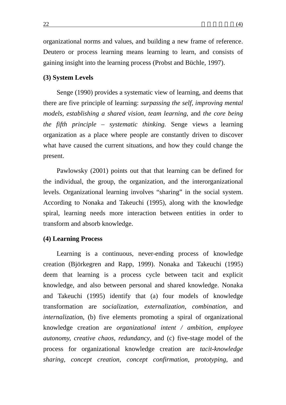organizational norms and values, and building a new frame of reference. Deutero or process learning means learning to learn, and consists of gaining insight into the learning process (Probst and Büchle, 1997).

#### **(3) System Levels**

Senge (1990) provides a systematic view of learning, and deems that there are five principle of learning: *surpassing the self, improving mental models, establishing a shared vision, team learning,* and *the core being the fifth principle – systematic thinking.* Senge views a learning organization as a place where people are constantly driven to discover what have caused the current situations, and how they could change the present.

Pawlowsky (2001) points out that that learning can be defined for the individual, the group, the organization, and the interorganizational levels. Organizational learning involves "sharing" in the social system. According to Nonaka and Takeuchi (1995), along with the knowledge spiral, learning needs more interaction between entities in order to transform and absorb knowledge.

#### **(4) Learning Process**

Learning is a continuous, never-ending process of knowledge creation (Björkegren and Rapp, 1999). Nonaka and Takeuchi (1995) deem that learning is a process cycle between tacit and explicit knowledge, and also between personal and shared knowledge. Nonaka and Takeuchi (1995) identify that (a) four models of knowledge transformation are *socialization, externalization, combination,* and *internalizatio*n, (b) five elements promoting a spiral of organizational knowledge creation are *organizational intent / ambition, employee autonomy, creative chaos, redundancy*, and (c) five-stage model of the process for organizational knowledge creation are *tacit-knowledge sharing, concept creation, concept confirmation, prototyping,* and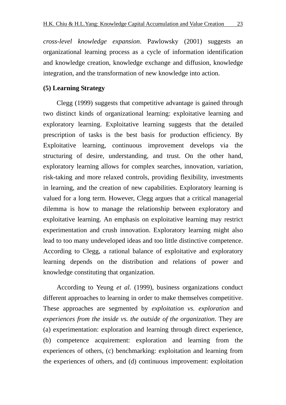*cross-level knowledge expansion*. Pawlowsky (2001) suggests an organizational learning process as a cycle of information identification and knowledge creation, knowledge exchange and diffusion, knowledge integration, and the transformation of new knowledge into action.

### **(5) Learning Strategy**

Clegg (1999) suggests that competitive advantage is gained through two distinct kinds of organizational learning: exploitative learning and exploratory learning. Exploitative learning suggests that the detailed prescription of tasks is the best basis for production efficiency. By Exploitative learning, continuous improvement develops via the structuring of desire, understanding, and trust. On the other hand, exploratory learning allows for complex searches, innovation, variation, risk-taking and more relaxed controls, providing flexibility, investments in learning, and the creation of new capabilities. Exploratory learning is valued for a long term. However, Clegg argues that a critical managerial dilemma is how to manage the relationship between exploratory and exploitative learning. An emphasis on exploitative learning may restrict experimentation and crush innovation. Exploratory learning might also lead to too many undeveloped ideas and too little distinctive competence. According to Clegg, a rational balance of exploitative and exploratory learning depends on the distribution and relations of power and knowledge constituting that organization.

According to Yeung *et al.* (1999), business organizations conduct different approaches to learning in order to make themselves competitive. These approaches are segmented by *exploitation vs. exploration* and *experiences from the inside vs. the outside of the organization*. They are (a) experimentation: exploration and learning through direct experience, (b) competence acquirement: exploration and learning from the experiences of others, (c) benchmarking: exploitation and learning from the experiences of others, and (d) continuous improvement: exploitation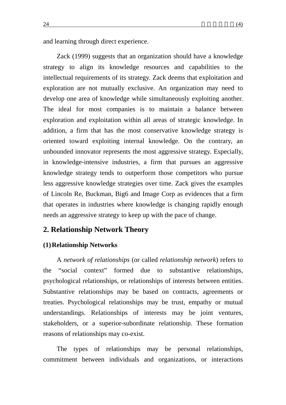Zack (1999) suggests that an organization should have a knowledge strategy to align its knowledge resources and capabilities to the intellectual requirements of its strategy. Zack deems that exploitation and exploration are not mutually exclusive. An organization may need to develop one area of knowledge while simultaneously exploiting another. The ideal for most companies is to maintain a balance between exploration and exploitation within all areas of strategic knowledge. In addition, a firm that has the most conservative knowledge strategy is oriented toward exploiting internal knowledge. On the contrary, an unbounded innovator represents the most aggressive strategy. Especially, in knowledge-intensive industries, a firm that pursues an aggressive knowledge strategy tends to outperform those competitors who pursue less aggressive knowledge strategies over time. Zack gives the examples of Lincoln Re, Buckman, Big6 and Image Corp as evidences that a firm that operates in industries where knowledge is changing rapidly enough needs an aggressive strategy to keep up with the pace of change.

## **2. Relationship Network Theory**

### **(1)Relationship Networks**

A *network of relationships* (or called *relationship network*) refers to the "social context" formed due to substantive relationships, psychological relationships, or relationships of interests between entities. Substantive relationships may be based on contracts, agreements or treaties. Psychological relationships may be trust, empathy or mutual understandings. Relationships of interests may be joint ventures, stakeholders, or a superior-subordinate relationship. These formation reasons of relationships may co-exist.

The types of relationships may be personal relationships, commitment between individuals and organizations, or interactions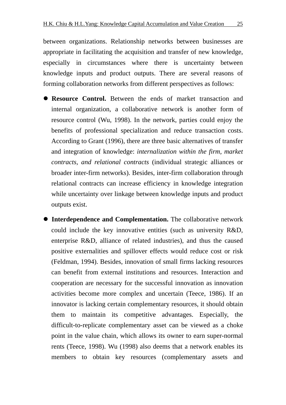between organizations. Relationship networks between businesses are appropriate in facilitating the acquisition and transfer of new knowledge, especially in circumstances where there is uncertainty between knowledge inputs and product outputs. There are several reasons of forming collaboration networks from different perspectives as follows:

- **Resource Control.** Between the ends of market transaction and internal organization, a collaborative network is another form of resource control (Wu, 1998). In the network, parties could enjoy the benefits of professional specialization and reduce transaction costs. According to Grant (1996), there are three basic alternatives of transfer and integration of knowledge: *internalization within the firm, market contracts, and relational contracts* (individual strategic alliances or broader inter-firm networks). Besides, inter-firm collaboration through relational contracts can increase efficiency in knowledge integration while uncertainty over linkage between knowledge inputs and product outputs exist.
- **Interdependence and Complementation.** The collaborative network could include the key innovative entities (such as university R&D, enterprise R&D, alliance of related industries), and thus the caused positive externalities and spillover effects would reduce cost or risk (Feldman, 1994). Besides, innovation of small firms lacking resources can benefit from external institutions and resources. Interaction and cooperation are necessary for the successful innovation as innovation activities become more complex and uncertain (Teece, 1986). If an innovator is lacking certain complementary resources, it should obtain them to maintain its competitive advantages. Especially, the difficult-to-replicate complementary asset can be viewed as a choke point in the value chain, which allows its owner to earn super-normal rents (Teece, 1998). Wu (1998) also deems that a network enables its members to obtain key resources (complementary assets and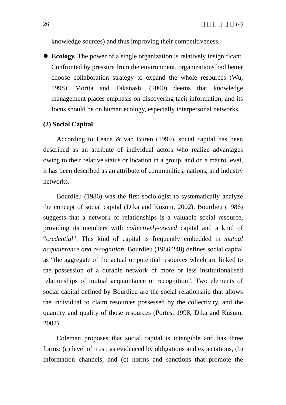• **Ecology.** The power of a single organization is relatively insignificant. Confronted by pressure from the environment, organizations had better choose collaboration strategy to expand the whole resources (Wu, 1998). Morita and Takanashi (2000) deems that knowledge management places emphasis on discovering tacit information, and its focus should be on human ecology, especially interpersonal networks.

#### **(2) Social Capital**

According to Leana & van Buren (1999), social capital has been described as an attribute of individual actors who realize advantages owing to their relative status or location in a group, and on a macro level, it has been described as an attribute of communities, nations, and industry networks.

Bourdieu (1986) was the first sociologist to systematically analyze the concept of social capital (Dika and Kusum, 2002). Bourdieu (1986) suggests that a network of relationships is a valuable social resource, providing its members with *collectively-owned* capital and a kind of "*credential*". This kind of capital is frequently embedded in *mutual acquaintance and recognition*. Bourdieu (1986:248) defines social capital as "the aggregate of the actual or potential resources which are linked to the possession of a durable network of more or less institutionalised relationships of mutual acquaintance or recognition". Two elements of social capital defined by Bourdieu are the social relationship that allows the individual to claim resources possessed by the collectivity, and the quantity and quality of those resources (Portes, 1998; Dika and Kusum, 2002).

Coleman proposes that social capital is intangible and has three forms: (a) level of trust, as evidenced by obligations and expectations, (b) information channels, and (c) norms and sanctions that promote the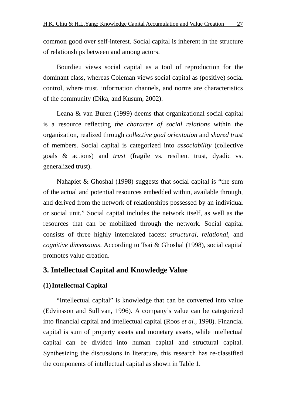common good over self-interest. Social capital is inherent in the structure of relationships between and among actors.

Bourdieu views social capital as a tool of reproduction for the dominant class, whereas Coleman views social capital as (positive) social control, where trust, information channels, and norms are characteristics of the community (Dika, and Kusum, 2002).

Leana & van Buren (1999) deems that organizational social capital is a resource reflecting *the character of social relations* within the organization, realized through *collective goal orientation* and *shared trust* of members. Social capital is categorized into *associability* (collective goals & actions) and *trust* (fragile vs. resilient trust, dyadic vs. generalized trust).

Nahapiet & Ghoshal (1998) suggests that social capital is "the sum of the actual and potential resources embedded within, available through, and derived from the network of relationships possessed by an individual or social unit." Social capital includes the network itself, as well as the resources that can be mobilized through the network. Social capital consists of three highly interrelated facets: *structural*, *relational*, and *cognitive dimensions*. According to Tsai & Ghoshal (1998), social capital promotes value creation.

## **3. Intellectual Capital and Knowledge Value**

### **(1)Intellectual Capital**

"Intellectual capital" is knowledge that can be converted into value (Edvinsson and Sullivan, 1996). A company's value can be categorized into financial capital and intellectual capital (Roos *et al.*, 1998). Financial capital is sum of property assets and monetary assets, while intellectual capital can be divided into human capital and structural capital. Synthesizing the discussions in literature, this research has re-classified the components of intellectual capital as shown in Table 1.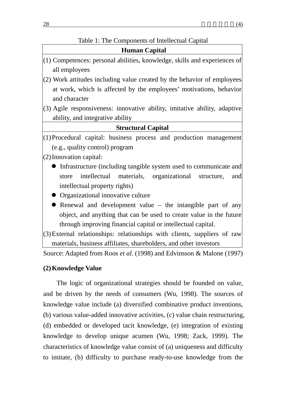### Table 1: The Components of Intellectual Capital

- (2) Work attitudes including value created by the behavior of employees at work, which is affected by the employees' motivations, behavior and character
- (3) Agile responsiveness: innovative ability, imitative ability, adaptive ability, and integrative ability

### **Structural Capital**

(1)Procedural capital: business process and production management (e.g., quality control) program

(2)Innovation capital:

- Infrastructure (including tangible system used to communicate and store intellectual materials, organizational structure, and intellectual property rights)
- Organizational innovative culture
- $\bullet$  Renewal and development value the intangible part of any object, and anything that can be used to create value in the future through improving financial capital or intellectual capital.

(3)External relationships: relationships with clients, suppliers of raw materials, business affiliates, shareholders, and other investors

Source: Adapted from Roos *et al.* (1998) and Edvinsson & Malone (1997)

### **(2)Knowledge Value**

The logic of organizational strategies should be founded on value, and be driven by the needs of consumers (Wu, 1998). The sources of knowledge value include (a) diversified combinative product inventions, (b) various value-added innovative activities, (c) value chain restructuring, (d) embedded or developed tacit knowledge, (e) integration of existing knowledge to develop unique acumen (Wu, 1998; Zack, 1999). The characteristics of knowledge value consist of (a) uniqueness and difficulty to imitate, (b) difficulty to purchase ready-to-use knowledge from the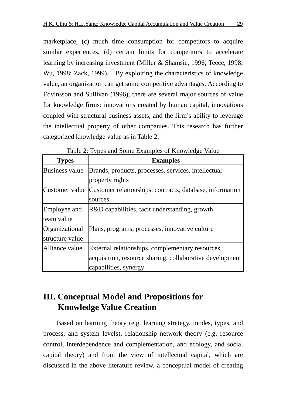marketplace, (c) much time consumption for competitors to acquire similar experiences, (d) certain limits for competitors to accelerate learning by increasing investment (Miller & Shamsie, 1996; Teece, 1998; Wu, 1998; Zack, 1999). By exploiting the characteristics of knowledge value, an organization can get some competitive advantages. According to Edvinsson and Sullivan (1996), there are several major sources of value for knowledge firms: innovations created by human capital, innovations coupled with structural business assets, and the firm's ability to leverage the intellectual property of other companies. This research has further categorized knowledge value as in Table 2.

| <b>Types</b>    | <b>Examples</b>                                                         |
|-----------------|-------------------------------------------------------------------------|
| Business value  | Brands, products, processes, services, intellectual                     |
|                 | property rights                                                         |
|                 | Customer value Customer relationships, contracts, database, information |
|                 | sources                                                                 |
| Employee and    | R&D capabilities, tacit understanding, growth                           |
| team value      |                                                                         |
| Organizational  | Plans, programs, processes, innovative culture                          |
| structure value |                                                                         |
| Alliance value  | External relationships, complementary resources                         |
|                 | acquisition, resource sharing, collaborative development                |
|                 | capabilities, synergy                                                   |

Table 2: Types and Some Examples of Knowledge Value

# **III. Conceptual Model and Propositions for Knowledge Value Creation**

Based on learning theory (e.g. learning strategy, modes, types, and process, and system levels), relationship network theory (e.g. resource control, interdependence and complementation, and ecology, and social capital theory) and from the view of intellectual capital, which are discussed in the above literature review, a conceptual model of creating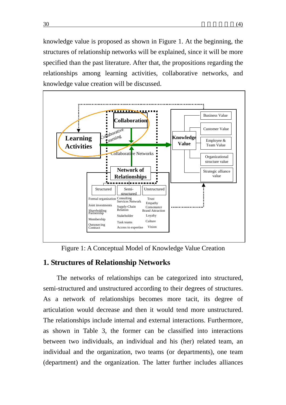knowledge value is proposed as shown in Figure 1. At the beginning, the structures of relationship networks will be explained, since it will be more specified than the past literature. After that, the propositions regarding the relationships among learning activities, collaborative networks, and knowledge value creation will be discussed.



Figure 1: A Conceptual Model of Knowledge Value Creation

### **1. Structures of Relationship Networks**

The networks of relationships can be categorized into structured, semi-structured and unstructured according to their degrees of structures. As a network of relationships becomes more tacit, its degree of articulation would decrease and then it would tend more unstructured. The relationships include internal and external interactions. Furthermore, as shown in Table 3, the former can be classified into interactions between two individuals, an individual and his (her) related team, an individual and the organization, two teams (or departments), one team (department) and the organization. The latter further includes alliances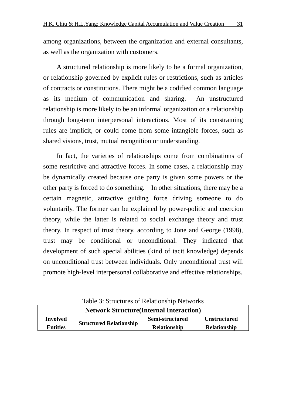among organizations, between the organization and external consultants, as well as the organization with customers.

A structured relationship is more likely to be a formal organization, or relationship governed by explicit rules or restrictions, such as articles of contracts or constitutions. There might be a codified common language as its medium of communication and sharing. An unstructured relationship is more likely to be an informal organization or a relationship through long-term interpersonal interactions. Most of its constraining rules are implicit, or could come from some intangible forces, such as shared visions, trust, mutual recognition or understanding.

In fact, the varieties of relationships come from combinations of some restrictive and attractive forces. In some cases, a relationship may be dynamically created because one party is given some powers or the other party is forced to do something. In other situations, there may be a certain magnetic, attractive guiding force driving someone to do voluntarily. The former can be explained by power-politic and coercion theory, while the latter is related to social exchange theory and trust theory. In respect of trust theory, according to Jone and George (1998), trust may be conditional or unconditional. They indicated that development of such special abilities (kind of tacit knowledge) depends on unconditional trust between individuals. Only unconditional trust will promote high-level interpersonal collaborative and effective relationships.

| Table 5: Structures of Relationship Networks    |                                |                     |                     |
|-------------------------------------------------|--------------------------------|---------------------|---------------------|
| <b>Network Structure (Internal Interaction)</b> |                                |                     |                     |
| <b>Involved</b>                                 |                                | Semi-structured     | <b>Unstructured</b> |
| <b>Entities</b>                                 | <b>Structured Relationship</b> | <b>Relationship</b> | <b>Relationship</b> |

Table 3: Structures of Relationship Networks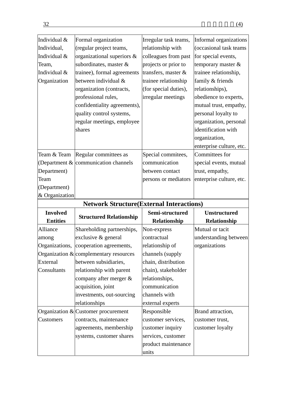| Individual &    | Formal organization                              | Irregular task teams, | Informal organizations   |
|-----------------|--------------------------------------------------|-----------------------|--------------------------|
| Individual,     | (regular project teams,                          | relationship with     | (occasional task teams   |
| Individual &    | organizational superiors &                       | colleagues from past  | for special events,      |
| Team,           | subordinates, master &                           | projects or prior to  | temporary master &       |
| Individual &    | trainee), formal agreements                      | transfers, master &   | trainee relationship,    |
| Organization    | between individual &                             | trainee relationship  | family & friends         |
|                 | organization (contracts,                         | (for special duties), | relationships),          |
|                 | professional rules,                              | irregular meetings    | obedience to experts,    |
|                 | confidentiality agreements),                     |                       | mutual trust, empathy,   |
|                 | quality control systems,                         |                       | personal loyalty to      |
|                 | regular meetings, employee                       |                       | organization, personal   |
|                 | shares                                           |                       | identification with      |
|                 |                                                  |                       | organization,            |
|                 |                                                  |                       | enterprise culture, etc. |
| Team & Team     | Regular committees as                            | Special commitees,    | Committees for           |
|                 | (Department $\&$ communication channels          | communication         | special events, mutual   |
| Department)     |                                                  | between contact       | trust, empathy,          |
| Team            |                                                  | persons or mediators  | enterprise culture, etc. |
| (Department)    |                                                  |                       |                          |
| & Organization  |                                                  |                       |                          |
|                 | <b>Network Structure (External Interactions)</b> |                       |                          |
|                 |                                                  |                       |                          |
| <b>Involved</b> |                                                  | Semi-structured       | <b>Unstructured</b>      |
| <b>Entities</b> | <b>Structured Relationship</b>                   | Relationship          | Relationship             |
| Alliance        | Shareholding partnerships,                       | Non-express           | Mutual or tacit          |
| among           | exclusive & general                              | contractual           | understanding between    |
| Organizations,  | cooperation agreements,                          | relationship of       | organizations            |
|                 | Organization $&$ complementary resources         | channels (supply      |                          |
| External        | between subsidiaries,                            | chain, distribution   |                          |
| Consultants     | relationship with parent                         | chain), stakeholder   |                          |
|                 | company after merger &                           | relationships,        |                          |
|                 | acquisition, joint                               | communication         |                          |
|                 | investments, out-sourcing                        | channels with         |                          |
|                 | relationships                                    | external experts      |                          |
|                 | Organization $&$ Customer procurement            | Responsible           | Brand attraction,        |
| Customers       | contracts, maintenance                           | customer services,    | customer trust,          |
|                 | agreements, membership                           | customer inquiry      | customer loyalty         |
|                 | systems, customer shares                         | services, customer    |                          |
|                 |                                                  | product maintenance   |                          |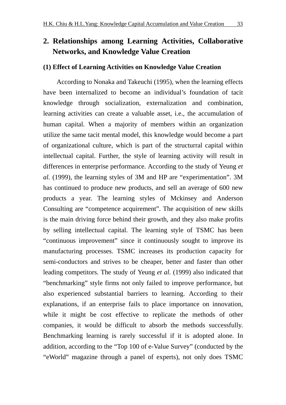# **2. Relationships among Learning Activities, Collaborative Networks, and Knowledge Value Creation**

### **(1) Effect of Learning Activities on Knowledge Value Creation**

According to Nonaka and Takeuchi (1995), when the learning effects have been internalized to become an individual's foundation of tacit knowledge through socialization, externalization and combination, learning activities can create a valuable asset, i.e., the accumulation of human capital. When a majority of members within an organization utilize the same tacit mental model, this knowledge would become a part of organizational culture, which is part of the structurral capital within intellectual capital. Further, the style of learning activity will result in differences in enterprise performance. According to the study of Yeung *et al.* (1999), the learning styles of 3M and HP are "experimentation". 3M has continued to produce new products, and sell an average of 600 new products a year. The learning styles of Mckinsey and Anderson Consulting are "competence acquirement". The acquisition of new skills is the main driving force behind their growth, and they also make profits by selling intellectual capital. The learning style of TSMC has been "continuous improvement" since it continuously sought to improve its manufacturing processes. TSMC increases its production capacity for semi-conductors and strives to be cheaper, better and faster than other leading competitors. The study of Yeung *et al.* (1999) also indicated that "benchmarking" style firms not only failed to improve performance, but also experienced substantial barriers to learning. According to their explanations, if an enterprise fails to place importance on innovation, while it might be cost effective to replicate the methods of other companies, it would be difficult to absorb the methods successfully. Benchmarking learning is rarely successful if it is adopted alone. In addition, according to the "Top 100 of e-Value Survey" (conducted by the "eWorld" magazine through a panel of experts), not only does TSMC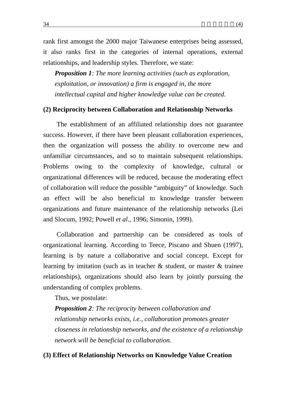rank first amongst the 2000 major Taiwanese enterprises being assessed, it also ranks first in the categories of internal operations, external relationships, and leadership styles. Therefore, we state:

*Proposition 1: The more learning activities (such as exploration, exploitation, or innovation) a firm is engaged in, the more intellectual capital and higher knowledge value can be created.* 

#### **(2) Reciprocity between Collaboration and Relationship Networks**

The establishment of an affiliated relationship does not guarantee success. However, if there have been pleasant collaboration experiences, then the organization will possess the ability to overcome new and unfamiliar circumstances, and so to maintain subsequent relationships. Problems owing to the complexity of knowledge, cultural or organizational differences will be reduced, because the moderating effect of collaboration will reduce the possible "ambiguity" of knowledge. Such an effect will be also beneficial to knowledge transfer between organizations and future maintenance of the relationship networks (Lei and Slocum, 1992; Powell *et al.*, 1996; Simonin, 1999).

Collaboration and partnership can be considered as tools of organizational learning. According to Teece, Piscano and Shuen (1997), learning is by nature a collaborative and social concept. Except for learning by imitation (such as in teacher & student, or master & trainee relationships), organizations should also learn by jointly pursuing the understanding of complex problems.

Thus, we postulate:

*Proposition 2: The reciprocity between collaboration and relationship networks exists, i.e., collaboration promotes greater closeness in relationship networks, and the existence of a relationship network will be beneficial to collaboration.* 

#### **(3) Effect of Relationship Networks on Knowledge Value Creation**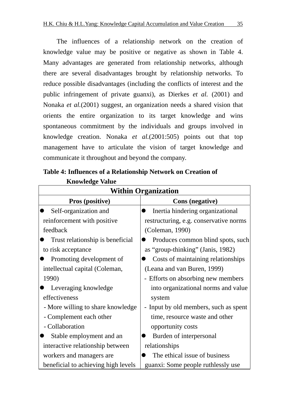The influences of a relationship network on the creation of knowledge value may be positive or negative as shown in Table 4. Many advantages are generated from relationship networks, although there are several disadvantages brought by relationship networks. To reduce possible disadvantages (including the conflicts of interest and the public infringement of private guanxi), as Dierkes *et al.* (2001) and Nonaka *et al.*(2001) suggest, an organization needs a shared vision that orients the entire organization to its target knowledge and wins spontaneous commitment by the individuals and groups involved in knowledge creation. Nonaka *et al.*(2001:505) points out that top management have to articulate the vision of target knowledge and communicate it throughout and beyond the company.

| <b>Within Organization</b>          |                                        |  |
|-------------------------------------|----------------------------------------|--|
| <b>Pros (positive)</b>              | <b>Cons</b> (negative)                 |  |
| Self-organization and               | Inertia hindering organizational       |  |
| reinforcement with positive         | restructuring, e.g. conservative norms |  |
| feedback                            | (Coleman, 1990)                        |  |
| Trust relationship is beneficial    | Produces common blind spots, such      |  |
| to risk acceptance                  | as "group-thinking" (Janis, 1982)      |  |
| Promoting development of            | Costs of maintaining relationships     |  |
| intellectual capital (Coleman,      | (Leana and van Buren, 1999)            |  |
| 1990)                               | - Efforts on absorbing new members     |  |
| Leveraging knowledge                | into organizational norms and value    |  |
| effectiveness                       | system                                 |  |
| - More willing to share knowledge   | - Input by old members, such as spent  |  |
| - Complement each other             | time, resource waste and other         |  |
| - Collaboration                     | opportunity costs                      |  |
| Stable employment and an            | Burden of interpersonal                |  |
| interactive relationship between    | relationships                          |  |
| workers and managers are            | The ethical issue of business          |  |
| beneficial to achieving high levels | guanxi: Some people ruthlessly use     |  |

**Table 4: Influences of a Relationship Network on Creation of Knowledge Value**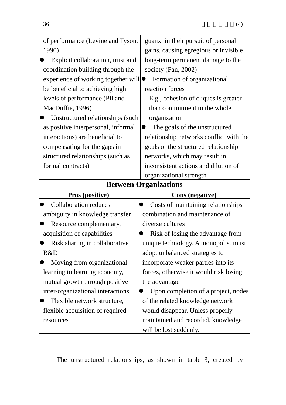| of performance (Levine and Tyson,   | guanxi in their pursuit of personal     |  |
|-------------------------------------|-----------------------------------------|--|
| 1990)                               | gains, causing egregious or invisible   |  |
| Explicit collaboration, trust and   | long-term permanent damage to the       |  |
| coordination building through the   | society (Fan, 2002)                     |  |
| experience of working together will | Formation of organizational             |  |
| be beneficial to achieving high     | reaction forces                         |  |
| levels of performance (Pil and      | - E.g., cohesion of cliques is greater  |  |
| MacDuffie, 1996)                    | than commitment to the whole            |  |
| Unstructured relationships (such    | organization                            |  |
| as positive interpersonal, informal | The goals of the unstructured           |  |
| interactions) are beneficial to     | relationship networks conflict with the |  |
| compensating for the gaps in        | goals of the structured relationship    |  |
| structured relationships (such as   | networks, which may result in           |  |
| formal contracts)                   | inconsistent actions and dilution of    |  |
|                                     | organizational strength                 |  |
| <b>Between Organizations</b>        |                                         |  |
|                                     |                                         |  |
| <b>Pros (positive)</b>              | <b>Cons</b> (negative)                  |  |
| <b>Collaboration reduces</b>        | Costs of maintaining relationships –    |  |
| ambiguity in knowledge transfer     | combination and maintenance of          |  |
| Resource complementary,             | diverse cultures                        |  |
| acquisition of capabilities         | Risk of losing the advantage from       |  |
| Risk sharing in collaborative       | unique technology. A monopolist must    |  |
| R&D                                 | adopt unbalanced strategies to          |  |
| Moving from organizational          | incorporate weaker parties into its     |  |
| learning to learning economy,       | forces, otherwise it would risk losing  |  |
| mutual growth through positive      | the advantage                           |  |
| inter-organizational interactions   | Upon completion of a project, nodes     |  |
| Flexible network structure,         | of the related knowledge network        |  |
| flexible acquisition of required    | would disappear. Unless properly        |  |
| resources                           | maintained and recorded, knowledge      |  |

The unstructured relationships, as shown in table 3, created by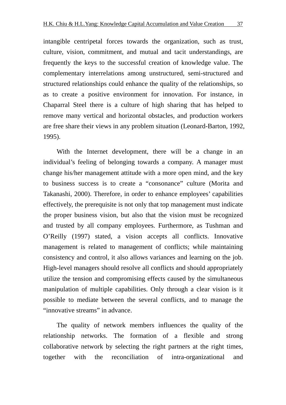intangible centripetal forces towards the organization, such as trust, culture, vision, commitment, and mutual and tacit understandings, are frequently the keys to the successful creation of knowledge value. The complementary interrelations among unstructured, semi-structured and structured relationships could enhance the quality of the relationships, so as to create a positive environment for innovation. For instance, in Chaparral Steel there is a culture of high sharing that has helped to remove many vertical and horizontal obstacles, and production workers are free share their views in any problem situation (Leonard-Barton, 1992, 1995).

With the Internet development, there will be a change in an individual's feeling of belonging towards a company. A manager must change his/her management attitude with a more open mind, and the key to business success is to create a "consonance" culture (Morita and Takanashi, 2000). Therefore, in order to enhance employees' capabilities effectively, the prerequisite is not only that top management must indicate the proper business vision, but also that the vision must be recognized and trusted by all company employees. Furthermore, as Tushman and O'Reilly (1997) stated, a vision accepts all conflicts. Innovative management is related to management of conflicts; while maintaining consistency and control, it also allows variances and learning on the job. High-level managers should resolve all conflicts and should appropriately utilize the tension and compromising effects caused by the simultaneous manipulation of multiple capabilities. Only through a clear vision is it possible to mediate between the several conflicts, and to manage the "innovative streams" in advance.

The quality of network members influences the quality of the relationship networks. The formation of a flexible and strong collaborative network by selecting the right partners at the right times, together with the reconciliation of intra-organizational and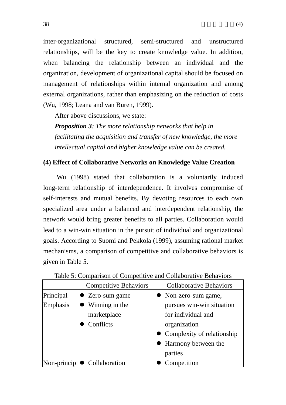inter-organizational structured, semi-structured and unstructured relationships, will be the key to create knowledge value. In addition, when balancing the relationship between an individual and the organization, development of organizational capital should be focused on management of relationships within internal organization and among external organizations, rather than emphasizing on the reduction of costs (Wu, 1998; Leana and van Buren, 1999).

After above discussions, we state:

*Proposition 3: The more relationship networks that help in facilitating the acquisition and transfer of new knowledge, the more intellectual capital and higher knowledge value can be created.* 

### **(4) Effect of Collaborative Networks on Knowledge Value Creation**

Wu (1998) stated that collaboration is a voluntarily induced long-term relationship of interdependence. It involves compromise of self-interests and mutual benefits. By devoting resources to each own specialized area under a balanced and interdependent relationship, the network would bring greater benefits to all parties. Collaboration would lead to a win-win situation in the pursuit of individual and organizational goals. According to Suomi and Pekkola (1999), assuming rational market mechanisms, a comparison of competitive and collaborative behaviors is given in Table 5.

|             | <b>Competitive Behaviors</b> | <b>Collaborative Behaviors</b> |
|-------------|------------------------------|--------------------------------|
| Principal   | • Zero-sum game              | • Non-zero-sum game,           |
| Emphasis    | Winning in the               | pursues win-win situation      |
|             | marketplace                  | for individual and             |
|             | Conflicts                    | organization                   |
|             |                              | • Complexity of relationship   |
|             |                              | • Harmony between the          |
|             |                              | parties                        |
| Non-princip | • Collaboration              | Competition                    |

#### Table 5: Comparison of Competitive and Collaborative Behaviors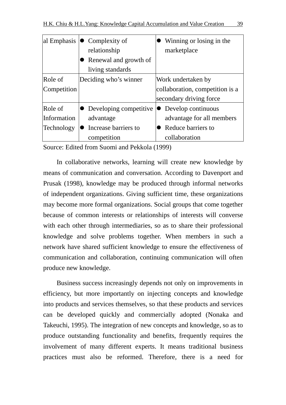| al Emphasis | $\bullet$ Complexity of  | Winning or losing in the        |
|-------------|--------------------------|---------------------------------|
|             | relationship             | marketplace                     |
|             | Renewal and growth of    |                                 |
|             | living standards         |                                 |
| Role of     | Deciding who's winner    | Work undertaken by              |
| Competition |                          | collaboration, competition is a |
|             |                          | secondary driving force         |
| Role of     | • Developing competitive | • Develop continuous            |
| Information | advantage                | advantage for all members       |
| Technology  | Increase barriers to     | Reduce barriers to              |
|             | competition              | collaboration                   |

Source: Edited from Suomi and Pekkola (1999)

In collaborative networks, learning will create new knowledge by means of communication and conversation. According to Davenport and Prusak (1998), knowledge may be produced through informal networks of independent organizations. Giving sufficient time, these organizations may become more formal organizations. Social groups that come together because of common interests or relationships of interests will converse with each other through intermediaries, so as to share their professional knowledge and solve problems together. When members in such a network have shared sufficient knowledge to ensure the effectiveness of communication and collaboration, continuing communication will often produce new knowledge.

Business success increasingly depends not only on improvements in efficiency, but more importantly on injecting concepts and knowledge into products and services themselves, so that these products and services can be developed quickly and commercially adopted (Nonaka and Takeuchi, 1995). The integration of new concepts and knowledge, so as to produce outstanding functionality and benefits, frequently requires the involvement of many different experts. It means traditional business practices must also be reformed. Therefore, there is a need for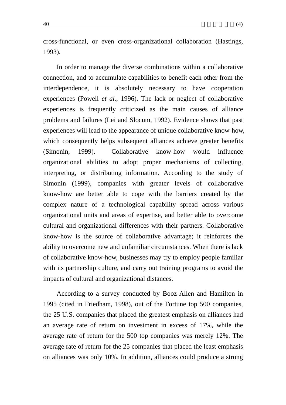cross-functional, or even cross-organizational collaboration (Hastings, 1993).

In order to manage the diverse combinations within a collaborative connection, and to accumulate capabilities to benefit each other from the interdependence, it is absolutely necessary to have cooperation experiences (Powell *et al.*, 1996). The lack or neglect of collaborative experiences is frequently criticized as the main causes of alliance problems and failures (Lei and Slocum, 1992). Evidence shows that past experiences will lead to the appearance of unique collaborative know-how, which consequently helps subsequent alliances achieve greater benefits (Simonin, 1999). Collaborative know-how would influence organizational abilities to adopt proper mechanisms of collecting, interpreting, or distributing information. According to the study of Simonin (1999), companies with greater levels of collaborative know-how are better able to cope with the barriers created by the complex nature of a technological capability spread across various organizational units and areas of expertise, and better able to overcome cultural and organizational differences with their partners. Collaborative know-how is the source of collaborative advantage; it reinforces the ability to overcome new and unfamiliar circumstances. When there is lack of collaborative know-how, businesses may try to employ people familiar with its partnership culture, and carry out training programs to avoid the impacts of cultural and organizational distances.

According to a survey conducted by Booz-Allen and Hamilton in 1995 (cited in Friedham, 1998), out of the Fortune top 500 companies, the 25 U.S. companies that placed the greatest emphasis on alliances had an average rate of return on investment in excess of 17%, while the average rate of return for the 500 top companies was merely 12%. The average rate of return for the 25 companies that placed the least emphasis on alliances was only 10%. In addition, alliances could produce a strong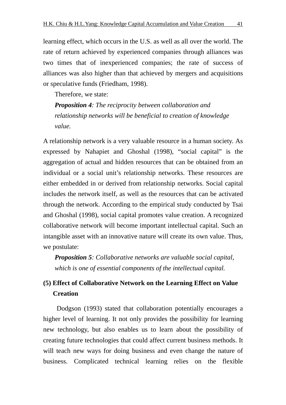learning effect, which occurs in the U.S. as well as all over the world. The rate of return achieved by experienced companies through alliances was two times that of inexperienced companies; the rate of success of alliances was also higher than that achieved by mergers and acquisitions or speculative funds (Friedham, 1998).

Therefore, we state:

*Proposition 4: The reciprocity between collaboration and relationship networks will be beneficial to creation of knowledge value.* 

A relationship network is a very valuable resource in a human society. As expressed by Nahapiet and Ghoshal (1998), "social capital" is the aggregation of actual and hidden resources that can be obtained from an individual or a social unit's relationship networks. These resources are either embedded in or derived from relationship networks. Social capital includes the network itself, as well as the resources that can be activated through the network. According to the empirical study conducted by Tsai and Ghoshal (1998), social capital promotes value creation. A recognized collaborative network will become important intellectual capital. Such an intangible asset with an innovative nature will create its own value. Thus, we postulate:

*Proposition 5: Collaborative networks are valuable social capital, which is one of essential components of the intellectual capital.* 

# **(5) Effect of Collaborative Network on the Learning Effect on Value Creation**

Dodgson (1993) stated that collaboration potentially encourages a higher level of learning. It not only provides the possibility for learning new technology, but also enables us to learn about the possibility of creating future technologies that could affect current business methods. It will teach new ways for doing business and even change the nature of business. Complicated technical learning relies on the flexible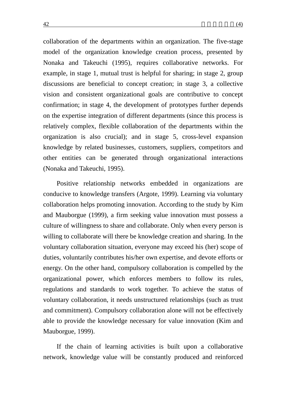collaboration of the departments within an organization. The five-stage model of the organization knowledge creation process, presented by Nonaka and Takeuchi (1995), requires collaborative networks. For example, in stage 1, mutual trust is helpful for sharing; in stage 2, group discussions are beneficial to concept creation; in stage 3, a collective vision and consistent organizational goals are contributive to concept confirmation; in stage 4, the development of prototypes further depends on the expertise integration of different departments (since this process is relatively complex, flexible collaboration of the departments within the organization is also crucial); and in stage 5, cross-level expansion knowledge by related businesses, customers, suppliers, competitors and other entities can be generated through organizational interactions (Nonaka and Takeuchi, 1995).

Positive relationship networks embedded in organizations are conducive to knowledge transfers (Argote, 1999). Learning via voluntary collaboration helps promoting innovation. According to the study by Kim and Mauborgue (1999), a firm seeking value innovation must possess a culture of willingness to share and collaborate. Only when every person is willing to collaborate will there be knowledge creation and sharing. In the voluntary collaboration situation, everyone may exceed his (her) scope of duties, voluntarily contributes his/her own expertise, and devote efforts or energy. On the other hand, compulsory collaboration is compelled by the organizational power, which enforces members to follow its rules, regulations and standards to work together. To achieve the status of voluntary collaboration, it needs unstructured relationships (such as trust and commitment). Compulsory collaboration alone will not be effectively able to provide the knowledge necessary for value innovation (Kim and Mauborgue, 1999).

If the chain of learning activities is built upon a collaborative network, knowledge value will be constantly produced and reinforced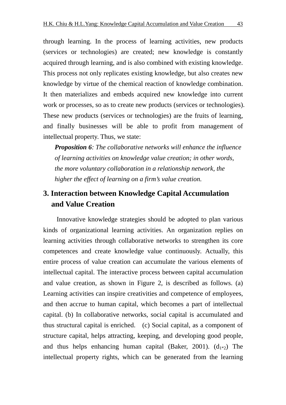through learning. In the process of learning activities, new products (services or technologies) are created; new knowledge is constantly acquired through learning, and is also combined with existing knowledge. This process not only replicates existing knowledge, but also creates new knowledge by virtue of the chemical reaction of knowledge combination. It then materializes and embeds acquired new knowledge into current work or processes, so as to create new products (services or technologies). These new products (services or technologies) are the fruits of learning, and finally businesses will be able to profit from management of intellectual property. Thus, we state:

*Proposition 6: The collaborative networks will enhance the influence of learning activities on knowledge value creation; in other words, the more voluntary collaboration in a relationship network, the higher the effect of learning on a firm's value creation.* 

# **3. Interaction between Knowledge Capital Accumulation and Value Creation**

Innovative knowledge strategies should be adopted to plan various kinds of organizational learning activities. An organization replies on learning activities through collaborative networks to strengthen its core competences and create knowledge value continuously. Actually, this entire process of value creation can accumulate the various elements of intellectual capital. The interactive process between capital accumulation and value creation, as shown in Figure 2, is described as follows. (a) Learning activities can inspire creativities and competence of employees, and then accrue to human capital, which becomes a part of intellectual capital. (b) In collaborative networks, social capital is accumulated and thus structural capital is enriched. (c) Social capital, as a component of structure capital, helps attracting, keeping, and developing good people, and thus helps enhancing human capital (Baker, 2001).  $(d_{1*2})$  The intellectual property rights, which can be generated from the learning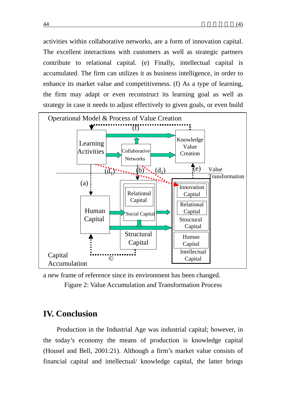activities within collaborative networks, are a form of innovation capital. The excellent interactions with customers as well as strategic partners contribute to relational capital. (e) Finally, intellectual capital is accumulated. The firm can utilizes it as business intelligence, in order to enhance its market value and competitiveness. (f) As a type of learning, the firm may adapt or even reconstruct its learning goal as well as strategy in case it needs to adjust effectively to given goals, or even build



a new frame of reference since its environment has been changed. Figure 2: Value Accumulation and Transformation Process

# **IV. Conclusion**

Production in the Industrial Age was industrial capital; however, in the today's economy the means of production is knowledge capital (Housel and Bell, 2001:21). Although a firm's market value consists of financial capital and intellectual/ knowledge capital, the latter brings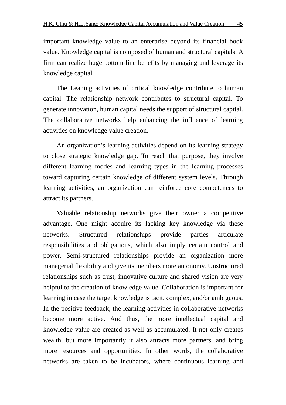important knowledge value to an enterprise beyond its financial book value. Knowledge capital is composed of human and structural capitals. A firm can realize huge bottom-line benefits by managing and leverage its knowledge capital.

The Leaning activities of critical knowledge contribute to human capital. The relationship network contributes to structural capital. To generate innovation, human capital needs the support of structural capital. The collaborative networks help enhancing the influence of learning activities on knowledge value creation.

An organization's learning activities depend on its learning strategy to close strategic knowledge gap. To reach that purpose, they involve different learning modes and learning types in the learning processes toward capturing certain knowledge of different system levels. Through learning activities, an organization can reinforce core competences to attract its partners.

Valuable relationship networks give their owner a competitive advantage. One might acquire its lacking key knowledge via these networks. Structured relationships provide parties articulate responsibilities and obligations, which also imply certain control and power. Semi-structured relationships provide an organization more managerial flexibility and give its members more autonomy. Unstructured relationships such as trust, innovative culture and shared vision are very helpful to the creation of knowledge value. Collaboration is important for learning in case the target knowledge is tacit, complex, and/or ambiguous. In the positive feedback, the learning activities in collaborative networks become more active. And thus, the more intellectual capital and knowledge value are created as well as accumulated. It not only creates wealth, but more importantly it also attracts more partners, and bring more resources and opportunities. In other words, the collaborative networks are taken to be incubators, where continuous learning and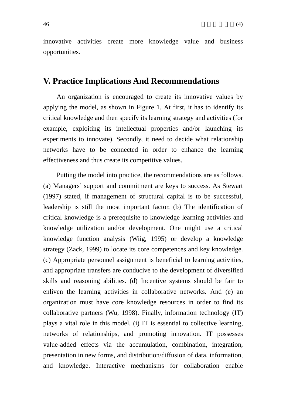innovative activities create more knowledge value and business opportunities.

# **V. Practice Implications And Recommendations**

An organization is encouraged to create its innovative values by applying the model, as shown in Figure 1. At first, it has to identify its critical knowledge and then specify its learning strategy and activities (for example, exploiting its intellectual properties and/or launching its experiments to innovate). Secondly, it need to decide what relationship networks have to be connected in order to enhance the learning effectiveness and thus create its competitive values.

Putting the model into practice, the recommendations are as follows. (a) Managers' support and commitment are keys to success. As Stewart (1997) stated, if management of structural capital is to be successful, leadership is still the most important factor. (b) The identification of critical knowledge is a prerequisite to knowledge learning activities and knowledge utilization and/or development. One might use a critical knowledge function analysis (Wiig, 1995) or develop a knowledge strategy (Zack, 1999) to locate its core competences and key knowledge. (c) Appropriate personnel assignment is beneficial to learning activities, and appropriate transfers are conducive to the development of diversified skills and reasoning abilities. (d) Incentive systems should be fair to enliven the learning activities in collaborative networks. And (e) an organization must have core knowledge resources in order to find its collaborative partners (Wu, 1998). Finally, information technology (IT) plays a vital role in this model. (i) IT is essential to collective learning, networks of relationships, and promoting innovation. IT possesses value-added effects via the accumulation, combination, integration, presentation in new forms, and distribution/diffusion of data, information, and knowledge. Interactive mechanisms for collaboration enable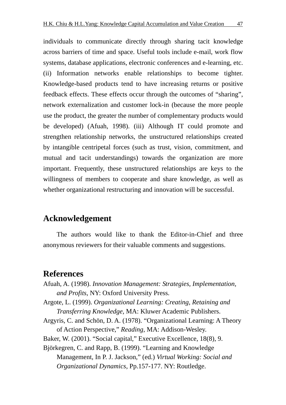individuals to communicate directly through sharing tacit knowledge across barriers of time and space. Useful tools include e-mail, work flow systems, database applications, electronic conferences and e-learning, etc. (ii) Information networks enable relationships to become tighter. Knowledge-based products tend to have increasing returns or positive feedback effects. These effects occur through the outcomes of "sharing", network externalization and customer lock-in (because the more people use the product, the greater the number of complementary products would be developed) (Afuah, 1998). (iii) Although IT could promote and strengthen relationship networks, the unstructured relationships created by intangible centripetal forces (such as trust, vision, commitment, and mutual and tacit understandings) towards the organization are more important. Frequently, these unstructured relationships are keys to the willingness of members to cooperate and share knowledge, as well as whether organizational restructuring and innovation will be successful.

# **Acknowledgement**

The authors would like to thank the Editor-in-Chief and three anonymous reviewers for their valuable comments and suggestions.

# **References**

Afuah, A. (1998). *Innovation Management: Strategies, Implementation, and Profits*, NY: Oxford University Press.

Argote, L. (1999). *Organizational Learning: Creating, Retaining and Transferring Knowledge*, MA: Kluwer Academic Publishers.

Argyris, C. and Schön, D. A. (1978). "Organizational Learning: A Theory of Action Perspective," *Reading*, MA: Addison-Wesley.

Baker, W. (2001). "Social capital," Executive Excellence, 18(8), 9.

Björkegren, C. and Rapp, B. (1999). "Learning and Knowledge Management, In P. J. Jackson," (ed.) *Virtual Working: Social and Organizational Dynamics*, Pp.157-177. NY: Routledge.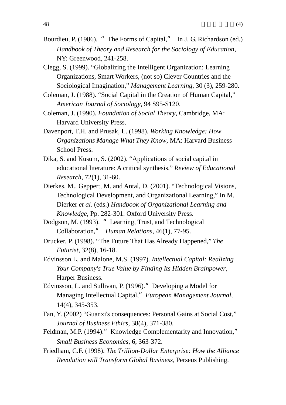- Bourdieu, P. (1986). "The Forms of Capital," In J. G. Richardson (ed.) *Handbook of Theory and Research for the Sociology of Education*, NY: Greenwood, 241-258.
- Clegg, S. (1999). "Globalizing the Intelligent Organization: Learning Organizations, Smart Workers, (not so) Clever Countries and the Sociological Imagination," *Management Learning*, 30 (3), 259-280.
- Coleman, J. (1988). "Social Capital in the Creation of Human Capital," *American Journal of Sociology*, 94 S95-S120.
- Coleman, J. (1990). *Foundation of Social Theory*, Cambridge, MA: Harvard University Press.
- Davenport, T.H. and Prusak, L. (1998). *Working Knowledge: How Organizations Manage What They Know*, MA: Harvard Business School Press.
- Dika, S. and Kusum, S. (2002). "Applications of social capital in educational literature: A critical synthesis," *Review of Educational Research*, 72(1), 31-60.
- Dierkes, M., Geppert, M. and Antal, D. (2001). "Technological Visions, Technological Development, and Organizational Learning," In M. Dierker *et al.* (eds.) *Handbook of Organizational Learning and Knowledge*, Pp. 282-301. Oxford University Press.
- Dodgson, M. (1993). "Learning, Trust, and Technological Collaboration," *Human Relations*, 46(1), 77-95.
- Drucker, P. (1998). "The Future That Has Already Happened," *The Futurist*, 32(8), 16-18.
- Edvinsson L. and Malone, M.S. (1997). *Intellectual Capital: Realizing Your Company's True Value by Finding Its Hidden Brainpower*, Harper Business.
- Edvinsson, L. and Sullivan, P. (1996). "Developing a Model for Managing Intellectual Capital,"*European Management Journal*, 14(4), 345-353.
- Fan, Y. (2002) "Guanxi's consequences: Personal Gains at Social Cost," *Journal of Business Ethics*, 38(4), 371-380.
- Feldman, M.P. (1994)." Knowledge Complementarity and Innovation," *Small Business Economics*, 6, 363-372.
- Friedham, C.F. (1998). *The Trillion-Dollar Enterprise: How the Alliance Revolution will Transform Global Business*, Perseus Publishing.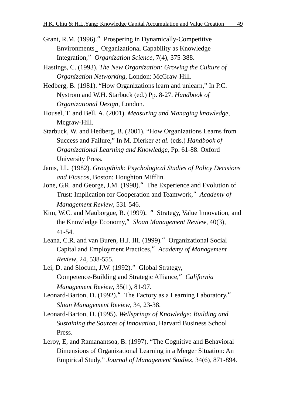- Grant, R.M. (1996). Prospering in Dynamically-Competitive Environments Organizational Capability as Knowledge Integration,"*Organization Science*, 7(4), 375-388.
- Hastings, C. (1993). *The New Organization: Growing the Culture of Organization Networking*, London: McGraw-Hill.
- Hedberg, B. (1981). "How Organizations learn and unlearn," In P.C. Nystrom and W.H. Starbuck (ed.) Pp. 8-27. *Handbook of Organizational Design*, London.
- Housel, T. and Bell, A. (2001). *Measuring and Managing knowledge*, Mcgraw-Hill.
- Starbuck, W. and Hedberg, B. (2001). "How Organizations Learns from Success and Failure," In M. Dierker *et al.* (eds.) *Handbook of Organizational Learning and Knowledge*, Pp. 61-88. Oxford University Press.
- Janis, I.L. (1982). *Groupthink: Psychological Studies of Policy Decisions and Fiascos*, Boston: Houghton Mifflin.
- Jone, G.R. and George, J.M. (1998). The Experience and Evolution of Trust: Implication for Cooperation and Teamwork,"*Academy of Management Review*, 531-546.
- Kim, W.C. and Mauborgue, R. (1999). "Strategy, Value Innovation, and the Knowledge Economy,"*Sloan Management Review*, 40(3), 41-54.
- Leana, C.R. and van Buren, H.J. III. (1999)." Organizational Social Capital and Employment Practices,"*Academy of Management Review*, 24, 538-555.
- Lei, D. and Slocum, J.W. (1992)." Global Strategy, Competence-Building and Strategic Alliance,"*California Management Review*, 35(1), 81-97.
- Leonard-Barton, D. (1992)." The Factory as a Learning Laboratory," *Sloan Management Review*, 34, 23-38.
- Leonard-Barton, D. (1995). *Wellsprings of Knowledge: Building and Sustaining the Sources of Innovation*, Harvard Business School Press.
- Leroy, E, and Ramanantsoa, B. (1997). "The Cognitive and Behavioral Dimensions of Organizational Learning in a Merger Situation: An Empirical Study," *Journal of Management Studies*, 34(6), 871-894.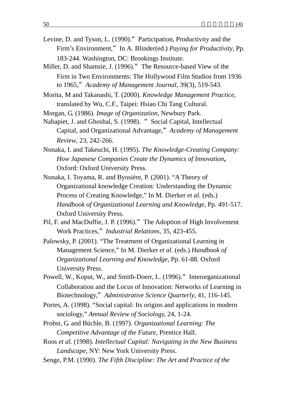- Levine, D. and Tyson, L. (1990)." Participation, Productivity and the Firm's Environment," In A. Blinder(ed.) *Paying for Productivity*, Pp. 183-244. Washington, DC: Brookings Institute.
- Miller, D. and Shamsie, J. (1996)." The Resource-based View of the Firm in Two Environments: The Hollywood Film Studios from 1936 to 1965,"*Academy of Management Journal*, 39(3), 519-543.
- Morita, M and Takanashi, T. (2000). *Knowledge Management Practice*, translated by Wu, C.F., Taipei: Hsiao Chi Tang Cultural.

Morgan, G. (1986). *Image of Organization,* Newbury Park.

- Nahapiet, J. and Ghoshal, S. (1998). "Social Capital, Intellectual Capital, and Organizational Advantage,"*Academy of Management Review*, 23, 242-266.
- Nonaka, I. and Takeuchi, H. (1995). *The Knowledge-Creating Company: How Japanese Companies Create the Dynamics of Innovation***,** Oxford: Oxford University Press.
- Nonaka, I. Toyama, R. and Byosière, P. (2001). "A Theory of Organizational knowledge Creation: Understanding the Dynamic Process of Creating Knowledge," In M. Dierker *et al.* (eds.) *Handbook of Organizational Learning and Knowledge*, Pp. 491-517. Oxford University Press.
- Pil, F. and MacDuffie, J. P. (1996)." The Adoption of High Involvement Work Practices,"*Industrial Relations*, 35, 423-455.
- Palowsky, P. (2001). "The Treatment of Organizational Learning in Management Science," In M. Dierker *et al.* (eds.) *Handbook of Organizational Learning and Knowledge*, Pp. 61-88. Oxford University Press.
- Powell, W., Koput, W., and Smith-Doerr, L. (1996)." Interorganizational Collaboration and the Locus of Innovation: Networks of Learning in Biotechnology,"*Administrative Science Quarterly*, 41, 116-145.
- Portes, A. (1998). "Social capital: Its origins and applications in modern sociology," *Annual Review of Sociology,* 24, 1-24.
- Probst, G. and Büchle, B. (1997). *Organizational Learning: The Competitive Advantage of the Future*, Prentice Hall.
- Roos *et al.* (1998). *Intellectual Capital: Navigating in the New Business Landscape*, NY: New York University Press.
- Senge, P.M. (1990). *The Fifth Discipline: The Art and Practice of the*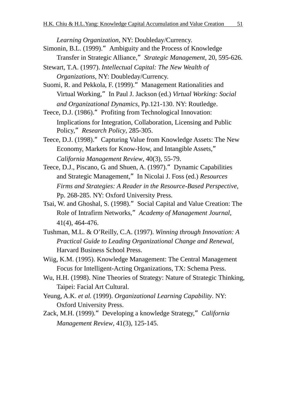*Learning Organization*, NY: Doubleday/Currency.

- Simonin, B.L. (1999)." Ambiguity and the Process of Knowledge Transfer in Strategic Alliance,"*Strategic Management*, 20, 595-626.
- Stewart, T.A. (1997). *Intellectual Capital: The New Wealth of Organizations*, NY: Doubleday/Currency.

Suomi, R. and Pekkola, F. (1999)." Management Rationalities and Virtual Working,"In Paul J. Jackson (ed.) *Virtual Working: Social and Organizational Dynamics*, Pp.121-130. NY: Routledge.

Teece, D.J. (1986)." Profiting from Technological Innovation: Implications for Integration, Collaboration, Licensing and Public Policy,"*Research Policy*, 285-305.

Teece, D.J. (1998). Capturing Value from Knowledge Assets: The New Economy, Markets for Know-How, and Intangible Assets," *California Management Review*, 40(3), 55-79.

Teece, D.J., Piscano, G. and Shuen, A. (1997). <sup>"</sup> Dynamic Capabilities and Strategic Management,"In Nicolai J. Foss (ed.) *Resources Firms and Strategies: A Reader in the Resource-Based Perspective*, Pp. 268-285. NY: Oxford University Press.

- Tsai, W. and Ghoshal, S. (1998)."Social Capital and Value Creation: The Role of Intrafirm Networks,"*Academy of Management Journal*, 41(4), 464-476.
- Tushman, M.L. & O'Reilly, C.A. (1997). *Winning through Innovation: A Practical Guide to Leading Organizational Change and Renewal*, Harvard Business School Press.
- Wiig, K.M. (1995). Knowledge Management: The Central Management Focus for Intelligent-Acting Organizations, TX: Schema Press.
- Wu, H.H. (1998). Nine Theories of Strategy: Nature of Strategic Thinking, Taipei: Facial Art Cultural.
- Yeung, A.K. *et al.* (1999). *Organizational Learning Capability*. NY: Oxford University Press.
- Zack, M.H. (1999)."Developing a knowledge Strategy,"*California Management Review*, 41(3), 125-145.